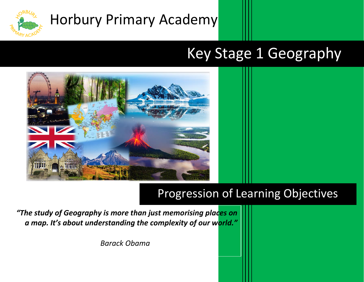

# Horbury Primary Academy

## Key Stage 1 Geography



## Progression of Learning Objectives

*"The study of Geography is more than just memorising places on a map. It's about understanding the complexity of our world."*

*Barack Obama*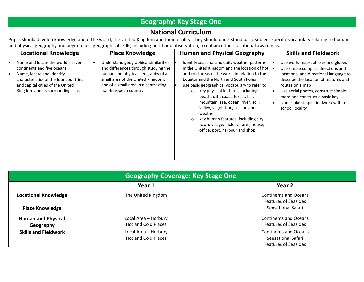### **Geography: Key Stage One**

#### **National Curriculum**

Pupils should develop knowledge about the world, the United Kingdom and their locality. They should understand basic subject-specific vocabulary relating to human and physical geography and begin to use geographical skills, including first-hand observation, to enhance their locational awareness.

| <b>Locational Knowledge</b>                                                                                                                                                                                   | <b>Place Knowledge</b>                                                                                                                                                                                                 | <b>Human and Physical Geography</b>                                                                                                                                                                                                                                                                                                                                                                                                                                                                                                  | <b>Skills and Fieldwork</b>                                                                                                                                                                                                                                                                                    |
|---------------------------------------------------------------------------------------------------------------------------------------------------------------------------------------------------------------|------------------------------------------------------------------------------------------------------------------------------------------------------------------------------------------------------------------------|--------------------------------------------------------------------------------------------------------------------------------------------------------------------------------------------------------------------------------------------------------------------------------------------------------------------------------------------------------------------------------------------------------------------------------------------------------------------------------------------------------------------------------------|----------------------------------------------------------------------------------------------------------------------------------------------------------------------------------------------------------------------------------------------------------------------------------------------------------------|
| Name and locate the world's seven<br>continents and five oceans<br>Name, locate and identify<br>characteristics of the four countries<br>and capital cities of the United<br>Kingdom and its surrounding seas | Understand geographical similarities<br>and differences through studying the<br>human and physical geography of a<br>small area of the United Kingdom,<br>and of a small area in a contrasting<br>non-European country | Identify seasonal and daily weather patterns<br>in the United Kingdom and the location of hot<br>and cold areas of the world in relation to the<br>Equator and the North and South Poles<br>use basic geographical vocabulary to refer to:<br>key physical features, including:<br>beach, cliff, coast, forest, hill,<br>mountain, sea, ocean, river, soil,<br>valley, vegetation, season and<br>weather<br>key human features, including city,<br>$\circ$<br>town, village, factory, farm, house,<br>office, port, harbour and shop | Use world maps, atlases and globes<br>Use simple compass directions and<br>locational and directional language to<br>describe the location of features and<br>routes on a map<br>Use aerial photos, construct simple<br>maps and construct a basic key<br>Undertake simple fieldwork within<br>school locality |

| <b>Geography Coverage: Key Stage One</b> |                                                    |                                                                                   |  |  |
|------------------------------------------|----------------------------------------------------|-----------------------------------------------------------------------------------|--|--|
|                                          | Year 1                                             | Year 2                                                                            |  |  |
| <b>Locational Knowledge</b>              | The United Kingdom                                 | <b>Continents and Oceans</b><br><b>Features of Seasides</b>                       |  |  |
| <b>Place Knowledge</b>                   |                                                    | Sensational Safari                                                                |  |  |
| <b>Human and Physical</b><br>Geography   | Local Area - Horbury<br><b>Hot and Cold Places</b> | <b>Continents and Oceans</b><br><b>Features of Seasides</b>                       |  |  |
| <b>Skills and Fieldwork</b>              | Local Area - Horbury<br><b>Hot and Cold Places</b> | <b>Continents and Oceans</b><br>Sensational Safari<br><b>Features of Seasides</b> |  |  |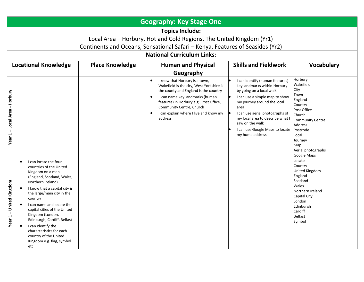| <b>Geography: Key Stage One</b>                                                                                                                                                                                      |                                                                                                                                                                                                                                                                                                                                                                                                                                  |                        |                                                                                                                                                                                                                                                                                    |                                                                                                                                                                                                                                                                                                                      |                                                                                                                                                                                                       |
|----------------------------------------------------------------------------------------------------------------------------------------------------------------------------------------------------------------------|----------------------------------------------------------------------------------------------------------------------------------------------------------------------------------------------------------------------------------------------------------------------------------------------------------------------------------------------------------------------------------------------------------------------------------|------------------------|------------------------------------------------------------------------------------------------------------------------------------------------------------------------------------------------------------------------------------------------------------------------------------|----------------------------------------------------------------------------------------------------------------------------------------------------------------------------------------------------------------------------------------------------------------------------------------------------------------------|-------------------------------------------------------------------------------------------------------------------------------------------------------------------------------------------------------|
| <b>Topics Include:</b><br>Local Area - Horbury, Hot and Cold Regions, The United Kingdom (Yr1)<br>Continents and Oceans, Sensational Safari - Kenya, Features of Seasides (Yr2)<br><b>National Curriculum Links:</b> |                                                                                                                                                                                                                                                                                                                                                                                                                                  |                        |                                                                                                                                                                                                                                                                                    |                                                                                                                                                                                                                                                                                                                      |                                                                                                                                                                                                       |
|                                                                                                                                                                                                                      | <b>Locational Knowledge</b>                                                                                                                                                                                                                                                                                                                                                                                                      | <b>Place Knowledge</b> | <b>Human and Physical</b>                                                                                                                                                                                                                                                          | <b>Skills and Fieldwork</b>                                                                                                                                                                                                                                                                                          | <b>Vocabulary</b>                                                                                                                                                                                     |
|                                                                                                                                                                                                                      |                                                                                                                                                                                                                                                                                                                                                                                                                                  |                        | Geography                                                                                                                                                                                                                                                                          |                                                                                                                                                                                                                                                                                                                      |                                                                                                                                                                                                       |
| - Horbury<br>-Local Area<br>Year 1                                                                                                                                                                                   |                                                                                                                                                                                                                                                                                                                                                                                                                                  |                        | I know that Horbury is a town,<br>Wakefield is the city, West Yorkshire is<br>the county and England is the country<br>I can name key landmarks (human<br>features) in Horbury e.g., Post Office,<br>Community Centre, Church<br>I can explain where I live and know my<br>address | I can identify (human features)<br>key landmarks within Horbury<br>by going on a local walk<br>I can use a simple map to show<br>my journey around the local<br>area<br>I can use aerial photographs of<br>my local area to describe what I<br>saw on the walk<br>I can use Google Maps to locate<br>my home address | Horbury<br>Wakefield<br>City<br>Town<br>England<br>Country<br>Post Office<br>Church<br><b>Community Centre</b><br>Address<br>Postcode<br>Local<br>Journey<br>Map<br>Aerial photographs<br>Google Maps |
| <b>United Kingdom</b><br>$\mathbf{I}$<br>Year <sub>1</sub>                                                                                                                                                           | I can locate the four<br>countries of the United<br>Kingdom on a map<br>(England, Scotland, Wales,<br>Northern Ireland)<br>I know that a capital city is<br>the large/main city in the<br>country<br>I can name and locate the<br>capital cities of the United<br>Kingdom (London,<br>Edinburgh, Cardiff, Belfast<br>I can identify the<br>characteristics for each<br>country of the United<br>Kingdom e.g. flag, symbol<br>etc |                        |                                                                                                                                                                                                                                                                                    |                                                                                                                                                                                                                                                                                                                      | .ocate<br>Country<br>United Kingdom<br>England<br>Scotland<br>Wales<br>Northern Ireland<br>Capital City<br>London<br>Edinburgh<br>Cardiff<br><b>Belfast</b><br>Symbol                                 |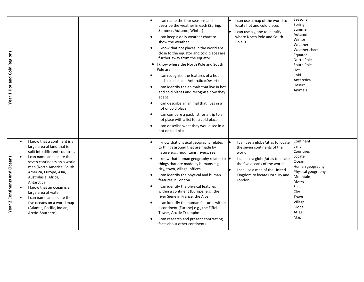| Year 1 Hot and Cold Regions                       |                                                                                                                                                                                                                                                                                                                                                                                                                          | I can name the four seasons and<br>I can use a map of the world to<br>describe the weather in each (Spring,<br>locate hot and cold places<br>Summer, Autumn, Winter)<br>I can use a globe to identify<br>where North Pole and South<br>I can keep a daily weather chart to<br>show the weather<br>Pole is<br>I know that hot places in the world are<br>close to the equator and cold places are<br>further away from the equator<br>• I know where the North Pole and South<br>Pole are<br>I can recognise the features of a hot<br>and a cold place (Antarctica/Desert)<br>I can identify the animals that live in hot<br>and cold places and recognise how they<br>adapt<br>I can describe an animal that lives in a<br>hot or cold place.<br>I can compare a pack list for a trip to a<br>hot place with a list for a cold place.<br>I can describe what they would see in a<br>hot or cold place. | Seasons<br>Spring<br>Summer<br>Autumn<br>Winter<br>Weather<br>Weather chart<br>Equator<br>North Pole<br>South Pole<br>Hot<br>Cold<br>Antarctica<br><b>Desert</b><br>Animals         |
|---------------------------------------------------|--------------------------------------------------------------------------------------------------------------------------------------------------------------------------------------------------------------------------------------------------------------------------------------------------------------------------------------------------------------------------------------------------------------------------|--------------------------------------------------------------------------------------------------------------------------------------------------------------------------------------------------------------------------------------------------------------------------------------------------------------------------------------------------------------------------------------------------------------------------------------------------------------------------------------------------------------------------------------------------------------------------------------------------------------------------------------------------------------------------------------------------------------------------------------------------------------------------------------------------------------------------------------------------------------------------------------------------------|-------------------------------------------------------------------------------------------------------------------------------------------------------------------------------------|
| <b>Continents and Oceans</b><br>Year <sub>2</sub> | I know that a continent is a<br>large area of land that is<br>split into different countries<br>I can name and locate the<br>seven continents on a world<br>map (North America, South<br>America, Europe, Asia,<br>Australasia, Africa,<br>Antarctica<br>I know that an ocean is a<br>large area of water<br>I can name and locate the<br>five oceans on a world map<br>(Atlantic, Pacific, Indian,<br>Arctic, Southern) | I know that physical geography relates<br>I can use a globe/atlas to locate<br>to things around that are made by<br>the seven continents of the<br>nature e.g., mountains, rivers, sea<br>world<br>I can use a globe/atlas to locate<br>I know that human geography relates to<br>things that are made by humans e.g.,<br>the five oceans of the world<br>city, town, village, offices<br>I can use a map of the United<br>I can identify the physical and human<br>Kingdom to locate Horbury and<br>features in London<br>London<br>I can identify the physical features<br>within a continent (Europe) e.g., the<br>river Siene in France, the Alps<br>I can identify the human features within<br>a continent (Europe) e.g., the Eiffel<br>Tower, Arc de Triomphe<br>I can research and present contrasting<br>facts about other continents                                                         | Continent<br>Land<br>Countries<br>Locate<br>Ocean<br>Human geography<br>Physical geography<br>Mountain<br><b>Rivers</b><br>Seas<br>City<br>Town<br>Village<br>Globe<br>Atlas<br>Map |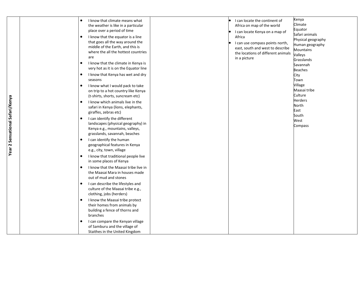| Year 2 Sensational Safari/Kenya | I know that climate means what<br>٠<br>the weather is like in a particular<br>place over a period of time<br>I know that the equator is a line<br>$\bullet$<br>that goes all the way around the<br>middle of the Earth, and this is<br>where the all the hottest countries<br>are<br>I know that the climate in Kenya is<br>٠<br>very hot as it is on the Equator line<br>I know that Kenya has wet and dry<br>$\bullet$<br>seasons<br>I know what I would pack to take<br>on trip to a hot country like Kenya<br>(t-shirts, shorts, suncream etc)<br>I know which animals live in the<br>safari in Kenya (lions, elephants,<br>giraffes, zebras etc)<br>I can identify the different<br>$\bullet$<br>landscapes (physical geography) in<br>Kenya e.g., mountains, valleys,<br>grasslands, savannah, beaches<br>I can identify the human<br>$\bullet$<br>geographical features in Kenya<br>e.g., city, town, village<br>I know that traditional people live<br>$\bullet$<br>in some places of Kenya<br>I know that the Maasai tribe live in<br>the Maasai Mara in houses made<br>out of mud and stones<br>I can describe the lifestyles and<br>$\bullet$<br>culture of the Maasai tribe e.g.,<br>clothing, jobs (herders)<br>I know the Maasai tribe protect | I can locate the continent of<br>Africa on map of the world<br>I can locate Kenya on a map of<br>Africa<br>I can use compass points north,<br>east, south and west to describe<br>the locations of different animals<br>in a picture | Kenya<br>Climate<br>Equator<br>Safari animals<br>Physical geography<br>Human geography<br>Mountains<br>Valleys<br>Grasslands<br>Savannah<br><b>Beaches</b><br>City<br>Town<br>Village<br>Maasai tribe<br>Culture<br><b>Herders</b><br>North<br>East<br>South<br>West<br>Compass |
|---------------------------------|--------------------------------------------------------------------------------------------------------------------------------------------------------------------------------------------------------------------------------------------------------------------------------------------------------------------------------------------------------------------------------------------------------------------------------------------------------------------------------------------------------------------------------------------------------------------------------------------------------------------------------------------------------------------------------------------------------------------------------------------------------------------------------------------------------------------------------------------------------------------------------------------------------------------------------------------------------------------------------------------------------------------------------------------------------------------------------------------------------------------------------------------------------------------------------------------------------------------------------------------------------------|--------------------------------------------------------------------------------------------------------------------------------------------------------------------------------------------------------------------------------------|---------------------------------------------------------------------------------------------------------------------------------------------------------------------------------------------------------------------------------------------------------------------------------|
|                                 |                                                                                                                                                                                                                                                                                                                                                                                                                                                                                                                                                                                                                                                                                                                                                                                                                                                                                                                                                                                                                                                                                                                                                                                                                                                              |                                                                                                                                                                                                                                      |                                                                                                                                                                                                                                                                                 |
|                                 | their homes from animals by<br>building a fence of thorns and<br>branches                                                                                                                                                                                                                                                                                                                                                                                                                                                                                                                                                                                                                                                                                                                                                                                                                                                                                                                                                                                                                                                                                                                                                                                    |                                                                                                                                                                                                                                      |                                                                                                                                                                                                                                                                                 |
|                                 | I can compare the Kenyan village<br>of Samburu and the village of<br>Staithes in the United Kingdom                                                                                                                                                                                                                                                                                                                                                                                                                                                                                                                                                                                                                                                                                                                                                                                                                                                                                                                                                                                                                                                                                                                                                          |                                                                                                                                                                                                                                      |                                                                                                                                                                                                                                                                                 |